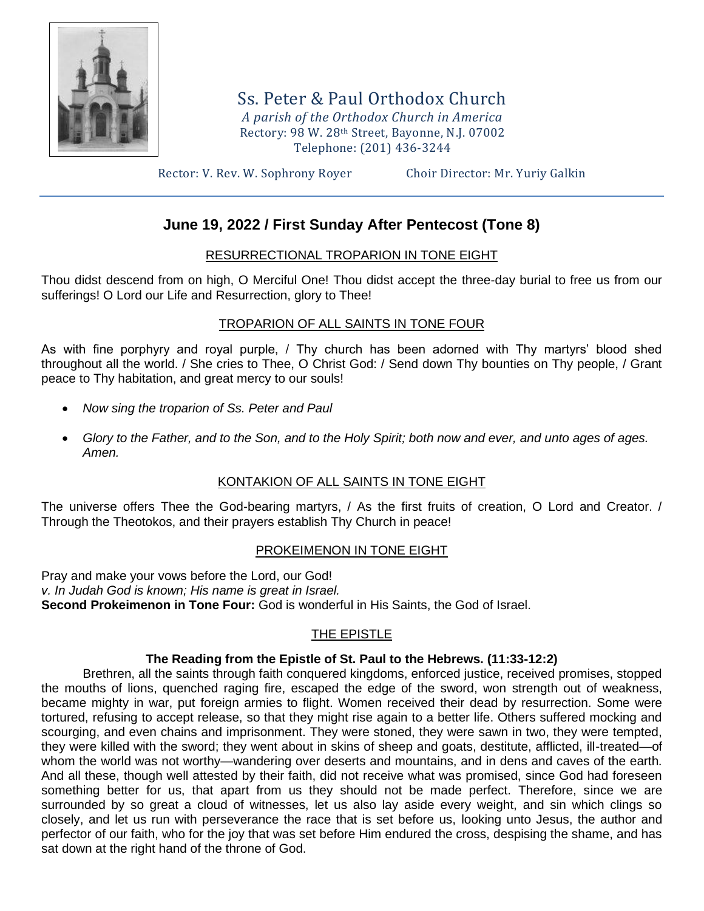

Ss. Peter & Paul Orthodox Church *A parish of the Orthodox Church in America* Rectory: 98 W. 28th Street, Bayonne, N.J. 07002 Telephone: (201) 436-3244

Rector: V. Rev. W. Sophrony Royer Choir Director: Mr. Yuriy Galkin

# **June 19, 2022 / First Sunday After Pentecost (Tone 8)**

### RESURRECTIONAL TROPARION IN TONE EIGHT

Thou didst descend from on high, O Merciful One! Thou didst accept the three-day burial to free us from our sufferings! O Lord our Life and Resurrection, glory to Thee!

### TROPARION OF ALL SAINTS IN TONE FOUR

As with fine porphyry and royal purple, / Thy church has been adorned with Thy martyrs' blood shed throughout all the world. / She cries to Thee, O Christ God: / Send down Thy bounties on Thy people, / Grant peace to Thy habitation, and great mercy to our souls!

- *Now sing the troparion of Ss. Peter and Paul*
- *Glory to the Father, and to the Son, and to the Holy Spirit; both now and ever, and unto ages of ages. Amen.*

# KONTAKION OF ALL SAINTS IN TONE EIGHT

The universe offers Thee the God-bearing martyrs, / As the first fruits of creation, O Lord and Creator. / Through the Theotokos, and their prayers establish Thy Church in peace!

# PROKEIMENON IN TONE EIGHT

Pray and make your vows before the Lord, our God! *v. In Judah God is known; His name is great in Israel.* **Second Prokeimenon in Tone Four:** God is wonderful in His Saints, the God of Israel.

# THE EPISTLE

### **The Reading from the Epistle of St. Paul to the Hebrews. (11:33-12:2)**

Brethren, all the saints through faith conquered kingdoms, enforced justice, received promises, stopped the mouths of lions, quenched raging fire, escaped the edge of the sword, won strength out of weakness, became mighty in war, put foreign armies to flight. Women received their dead by resurrection. Some were tortured, refusing to accept release, so that they might rise again to a better life. Others suffered mocking and scourging, and even chains and imprisonment. They were stoned, they were sawn in two, they were tempted, they were killed with the sword; they went about in skins of sheep and goats, destitute, afflicted, ill-treated—of whom the world was not worthy—wandering over deserts and mountains, and in dens and caves of the earth. And all these, though well attested by their faith, did not receive what was promised, since God had foreseen something better for us, that apart from us they should not be made perfect. Therefore, since we are surrounded by so great a cloud of witnesses, let us also lay aside every weight, and sin which clings so closely, and let us run with perseverance the race that is set before us, looking unto Jesus, the author and perfector of our faith, who for the joy that was set before Him endured the cross, despising the shame, and has sat down at the right hand of the throne of God.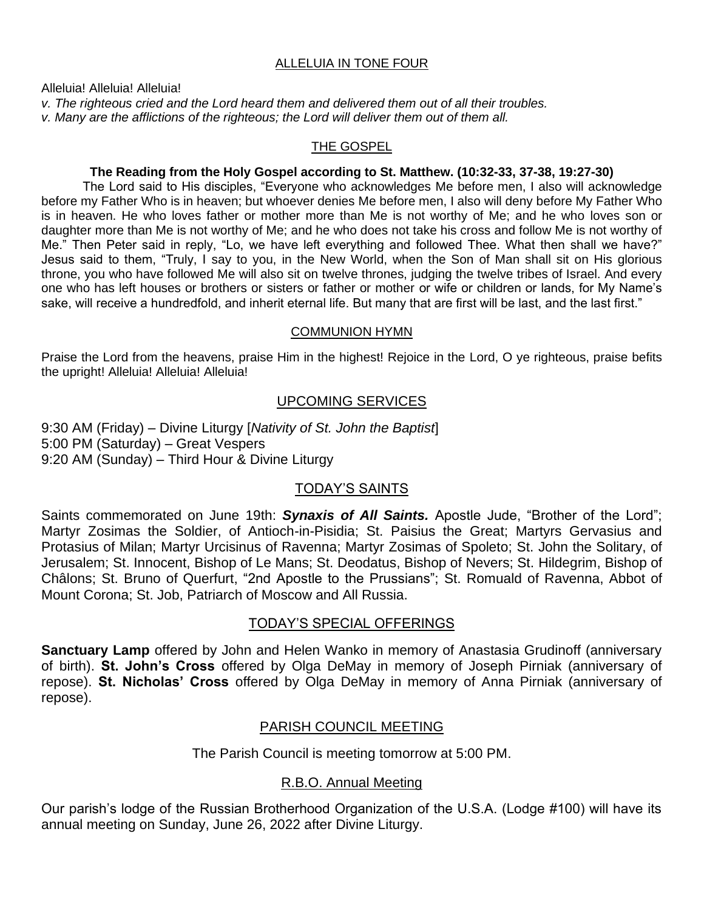### ALLELUIA IN TONE FOUR

Alleluia! Alleluia! Alleluia!

*v. The righteous cried and the Lord heard them and delivered them out of all their troubles. v. Many are the afflictions of the righteous; the Lord will deliver them out of them all.*

#### THE GOSPEL

#### **The Reading from the Holy Gospel according to St. Matthew. (10:32-33, 37-38, 19:27-30)**

The Lord said to His disciples, "Everyone who acknowledges Me before men, I also will acknowledge before my Father Who is in heaven; but whoever denies Me before men, I also will deny before My Father Who is in heaven. He who loves father or mother more than Me is not worthy of Me; and he who loves son or daughter more than Me is not worthy of Me; and he who does not take his cross and follow Me is not worthy of Me." Then Peter said in reply, "Lo, we have left everything and followed Thee. What then shall we have?" Jesus said to them, "Truly, I say to you, in the New World, when the Son of Man shall sit on His glorious throne, you who have followed Me will also sit on twelve thrones, judging the twelve tribes of Israel. And every one who has left houses or brothers or sisters or father or mother or wife or children or lands, for My Name's sake, will receive a hundredfold, and inherit eternal life. But many that are first will be last, and the last first."

#### COMMUNION HYMN

Praise the Lord from the heavens, praise Him in the highest! Rejoice in the Lord, O ye righteous, praise befits the upright! Alleluia! Alleluia! Alleluia!

# UPCOMING SERVICES

9:30 AM (Friday) – Divine Liturgy [*Nativity of St. John the Baptist*] 5:00 PM (Saturday) – Great Vespers 9:20 AM (Sunday) – Third Hour & Divine Liturgy

# TODAY'S SAINTS

Saints commemorated on June 19th: **Synaxis of All Saints.** Apostle Jude, "Brother of the Lord"; Martyr Zosimas the Soldier, of Antioch-in-Pisidia; St. Paisius the Great; Martyrs Gervasius and Protasius of Milan; Martyr Urcisinus of Ravenna; Martyr Zosimas of Spoleto; St. John the Solitary, of Jerusalem; St. Innocent, Bishop of Le Mans; St. Deodatus, Bishop of Nevers; St. Hildegrim, Bishop of Châlons; St. Bruno of Querfurt, "2nd Apostle to the Prussians"; St. Romuald of Ravenna, Abbot of Mount Corona; St. Job, Patriarch of Moscow and All Russia.

# TODAY'S SPECIAL OFFERINGS

**Sanctuary Lamp** offered by John and Helen Wanko in memory of Anastasia Grudinoff (anniversary of birth). **St. John's Cross** offered by Olga DeMay in memory of Joseph Pirniak (anniversary of repose). **St. Nicholas' Cross** offered by Olga DeMay in memory of Anna Pirniak (anniversary of repose).

# PARISH COUNCIL MEETING

The Parish Council is meeting tomorrow at 5:00 PM.

# R.B.O. Annual Meeting

Our parish's lodge of the Russian Brotherhood Organization of the U.S.A. (Lodge #100) will have its annual meeting on Sunday, June 26, 2022 after Divine Liturgy.